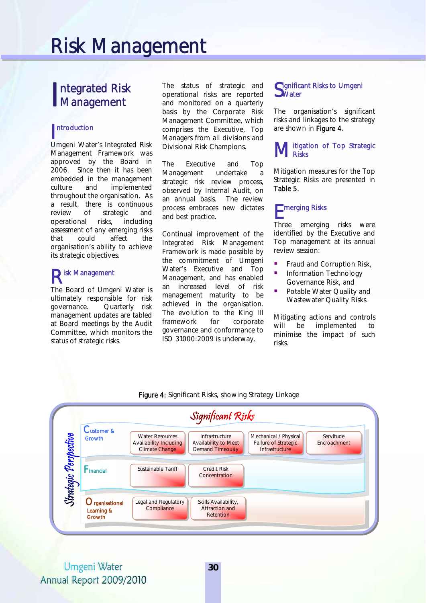# Risk Management

### ntegrated Risk Integrated Risk<br>Management

# ntroduction

Umgeni Water's Integrated Risk Management Framework was approved by the Board in 2006. Since then it has been embedded in the management culture and implemented throughout the organisation. As a result, there is continuous review of strategic and operational risks, including assessment of any emerging risks that could affect the organisation's ability to achieve its strategic objectives.

## Risk Management

The Board of Umgeni Water is ultimately responsible for risk governance. Quarterly risk management updates are tabled at Board meetings by the Audit Committee, which monitors the status of strategic risks.

The status of strategic and operational risks are reported and monitored on a quarterly basis by the Corporate Risk Management Committee, which comprises the Executive, Top Managers from all divisions and Divisional Risk Champions.

The Executive and Top Management undertake a strategic risk review process, observed by Internal Audit, on an annual basis. The review process embraces new dictates and best practice.

Continual improvement of the Integrated Risk Management Framework is made possible by the commitment of Umgeni Water's Executive and Top Management, and has enabled an increased level of risk management maturity to be achieved in the organisation. The evolution to the King III framework for corporate governance and conformance to ISO 31000:2009 is underway.

### Significant Risks to Umgeni<br>Swater **J**Water

The organisation's significant risks and linkages to the strategy are shown in Figure 4.

#### itigation of Top Strategic **Risks** M<sub>Ri</sub>

Mitigation measures for the Top Strategic Risks are presented in Table 5.

# merging Risks E

Three emerging risks were identified by the Executive and Top management at its annual review session:

- **Fraud and Corruption Risk,**
- Information Technology Governance Risk, and
- Potable Water Quality and Wastewater Quality Risks.

Mitigating actions and controls will be implemented to minimise the impact of such risks.



Figure 4: Significant Risks, showing Strategy Linkage

Umgeni Water Annual Report 2009/2010